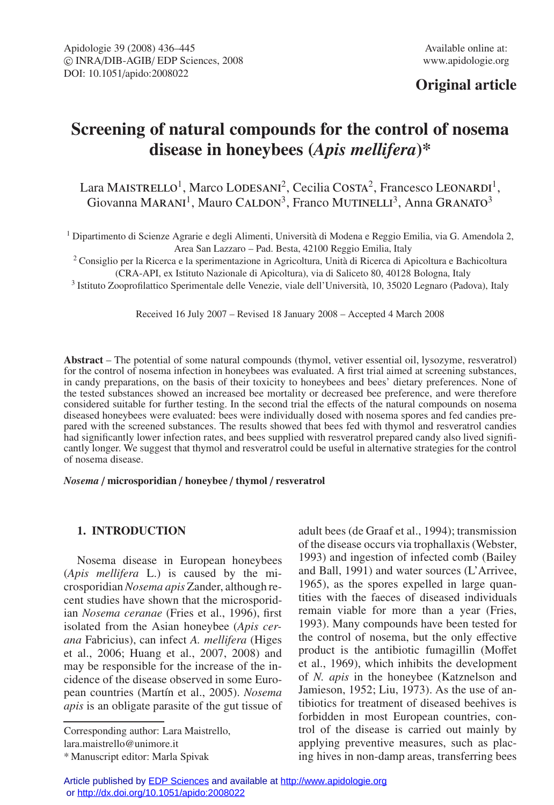## **Original article**

# **Screening of natural compounds for the control of nosema disease in honeybees (***Apis mellifera***)\***

Lara MAISTRELLO<sup>1</sup>, Marco LODESANI<sup>2</sup>, Cecilia COSTA<sup>2</sup>, Francesco LEONARDI<sup>1</sup>, Giovanna MARANI<sup>1</sup>, Mauro CALDON<sup>3</sup>, Franco MUTINELLI<sup>3</sup>, Anna GRANATO<sup>3</sup>

<sup>1</sup> Dipartimento di Scienze Agrarie e degli Alimenti, Università di Modena e Reggio Emilia, via G. Amendola 2, Area San Lazzaro – Pad. Besta, 42100 Reggio Emilia, Italy

<sup>2</sup> Consiglio per la Ricerca e la sperimentazione in Agricoltura, Unità di Ricerca di Apicoltura e Bachicoltura

(CRA-API, ex Istituto Nazionale di Apicoltura), via di Saliceto 80, 40128 Bologna, Italy

<sup>3</sup> Istituto Zooprofilattico Sperimentale delle Venezie, viale dell'Università, 10, 35020 Legnaro (Padova), Italy

Received 16 July 2007 – Revised 18 January 2008 – Accepted 4 March 2008

**Abstract** – The potential of some natural compounds (thymol, vetiver essential oil, lysozyme, resveratrol) for the control of nosema infection in honeybees was evaluated. A first trial aimed at screening substances, in candy preparations, on the basis of their toxicity to honeybees and bees' dietary preferences. None of the tested substances showed an increased bee mortality or decreased bee preference, and were therefore considered suitable for further testing. In the second trial the effects of the natural compounds on nosema diseased honeybees were evaluated: bees were individually dosed with nosema spores and fed candies prepared with the screened substances. The results showed that bees fed with thymol and resveratrol candies had significantly lower infection rates, and bees supplied with resveratrol prepared candy also lived significantly longer. We suggest that thymol and resveratrol could be useful in alternative strategies for the control of nosema disease.

#### *Nosema* / **microsporidian** / **honeybee** / **thymol** / **resveratrol**

## **1. INTRODUCTION**

Nosema disease in European honeybees (*Apis mellifera* L.) is caused by the microsporidian*Nosema apis* Zander, although recent studies have shown that the microsporidian *Nosema ceranae* (Fries et al., 1996), first isolated from the Asian honeybee (*Apis cerana* Fabricius), can infect *A. mellifera* (Higes et al., 2006; Huang et al., 2007, 2008) and may be responsible for the increase of the incidence of the disease observed in some European countries (Martín et al., 2005). *Nosema apis* is an obligate parasite of the gut tissue of

Corresponding author: Lara Maistrello, lara.maistrello@unimore.it

adult bees (de Graaf et al., 1994); transmission of the disease occurs via trophallaxis (Webster, 1993) and ingestion of infected comb (Bailey and Ball, 1991) and water sources (L'Arrivee, 1965), as the spores expelled in large quantities with the faeces of diseased individuals remain viable for more than a year (Fries, 1993). Many compounds have been tested for the control of nosema, but the only effective product is the antibiotic fumagillin (Moffet et al., 1969), which inhibits the development of *N. apis* in the honeybee (Katznelson and Jamieson, 1952; Liu, 1973). As the use of antibiotics for treatment of diseased beehives is forbidden in most European countries, control of the disease is carried out mainly by applying preventive measures, such as placing hives in non-damp areas, transferring bees

<sup>\*</sup> Manuscript editor: Marla Spivak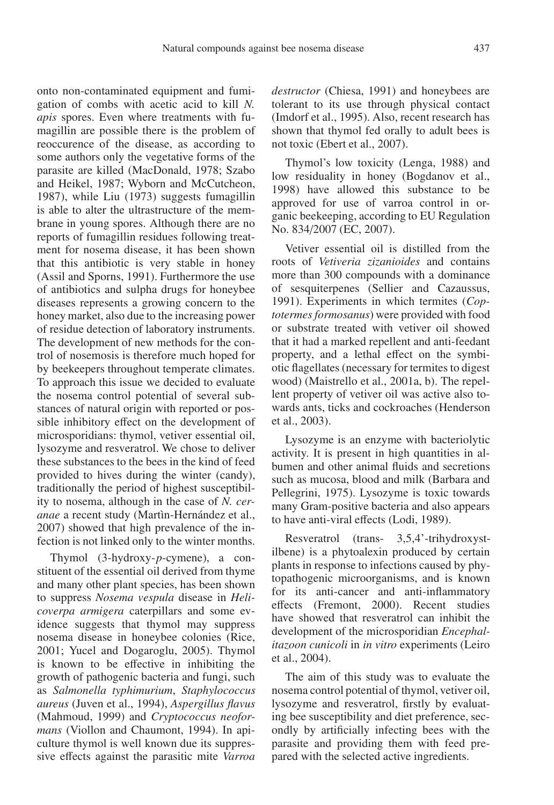onto non-contaminated equipment and fumigation of combs with acetic acid to kill *N. apis* spores. Even where treatments with fumagillin are possible there is the problem of reoccurence of the disease, as according to some authors only the vegetative forms of the parasite are killed (MacDonald, 1978; Szabo and Heikel, 1987; Wyborn and McCutcheon, 1987), while Liu (1973) suggests fumagillin is able to alter the ultrastructure of the membrane in young spores. Although there are no reports of fumagillin residues following treatment for nosema disease, it has been shown that this antibiotic is very stable in honey (Assil and Sporns, 1991). Furthermore the use of antibiotics and sulpha drugs for honeybee diseases represents a growing concern to the honey market, also due to the increasing power of residue detection of laboratory instruments. The development of new methods for the control of nosemosis is therefore much hoped for by beekeepers throughout temperate climates. To approach this issue we decided to evaluate the nosema control potential of several substances of natural origin with reported or possible inhibitory effect on the development of microsporidians: thymol, vetiver essential oil, lysozyme and resveratrol. We chose to deliver these substances to the bees in the kind of feed provided to hives during the winter (candy), traditionally the period of highest susceptibility to nosema, although in the case of *N. ceranae* a recent study (Martìn-Hernández et al., 2007) showed that high prevalence of the infection is not linked only to the winter months.

Thymol (3-hydroxy-*p*-cymene), a constituent of the essential oil derived from thyme and many other plant species, has been shown to suppress *Nosema vespula* disease in *Helicoverpa armigera* caterpillars and some evidence suggests that thymol may suppress nosema disease in honeybee colonies (Rice, 2001; Yucel and Dogaroglu, 2005). Thymol is known to be effective in inhibiting the growth of pathogenic bacteria and fungi, such as *Salmonella typhimurium*, *Staphylococcus aureus* (Juven et al., 1994), *Aspergillus flavus* (Mahmoud, 1999) and *Cryptococcus neoformans* (Viollon and Chaumont, 1994). In apiculture thymol is well known due its suppressive effects against the parasitic mite *Varroa* *destructor* (Chiesa, 1991) and honeybees are tolerant to its use through physical contact (Imdorf et al., 1995). Also, recent research has shown that thymol fed orally to adult bees is not toxic (Ebert et al., 2007).

Thymol's low toxicity (Lenga, 1988) and low residuality in honey (Bogdanov et al., 1998) have allowed this substance to be approved for use of varroa control in organic beekeeping, according to EU Regulation No. 834/2007 (EC, 2007).

Vetiver essential oil is distilled from the roots of *Vetiveria zizanioides* and contains more than 300 compounds with a dominance of sesquiterpenes (Sellier and Cazaussus, 1991). Experiments in which termites (*Coptotermes formosanus*) were provided with food or substrate treated with vetiver oil showed that it had a marked repellent and anti-feedant property, and a lethal effect on the symbiotic flagellates (necessary for termites to digest wood) (Maistrello et al., 2001a, b). The repellent property of vetiver oil was active also towards ants, ticks and cockroaches (Henderson et al., 2003).

Lysozyme is an enzyme with bacteriolytic activity. It is present in high quantities in albumen and other animal fluids and secretions such as mucosa, blood and milk (Barbara and Pellegrini, 1975). Lysozyme is toxic towards many Gram-positive bacteria and also appears to have anti-viral effects (Lodi, 1989).

Resveratrol (trans- 3,5,4'-trihydroxystilbene) is a phytoalexin produced by certain plants in response to infections caused by phytopathogenic microorganisms, and is known for its anti-cancer and anti-inflammatory effects (Fremont, 2000). Recent studies have showed that resveratrol can inhibit the development of the microsporidian *Encephalitazoon cunicoli* in *in vitro* experiments (Leiro et al., 2004).

The aim of this study was to evaluate the nosema control potential of thymol, vetiver oil, lysozyme and resveratrol, firstly by evaluating bee susceptibility and diet preference, secondly by artificially infecting bees with the parasite and providing them with feed prepared with the selected active ingredients.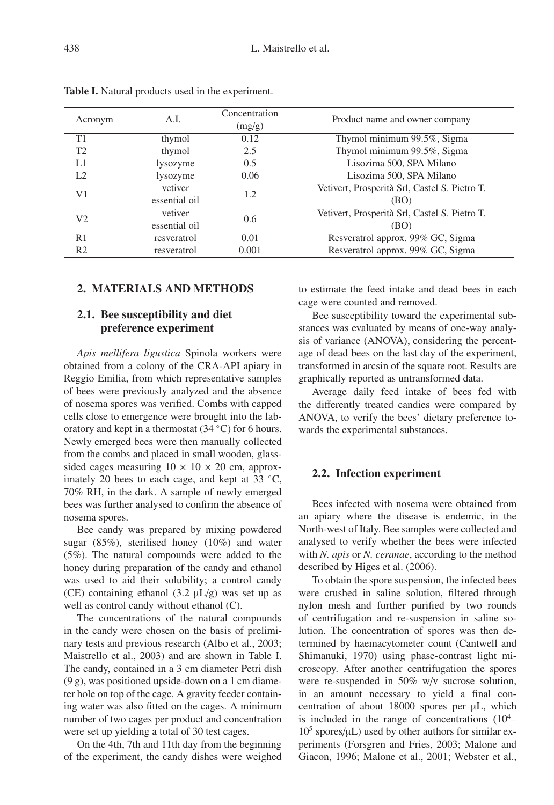| Acronym        | A.I.                     | Concentration<br>(mg/g) | Product name and owner company                        |  |
|----------------|--------------------------|-------------------------|-------------------------------------------------------|--|
| T1             | thymol                   | 0.12                    | Thymol minimum 99.5%, Sigma                           |  |
| T <sub>2</sub> | thymol                   | 2.5                     | Thymol minimum 99.5%, Sigma                           |  |
| L1             | lysozyme                 | 0.5                     | Lisozima 500, SPA Milano                              |  |
| L <sub>2</sub> | lysozyme                 | 0.06                    | Lisozima 500, SPA Milano                              |  |
| V <sub>1</sub> | vetiver<br>essential oil | 1.2                     | Vetivert, Prosperità Srl, Castel S. Pietro T.<br>(BO) |  |
| V <sub>2</sub> | vetiver<br>essential oil | $0.6^{\circ}$           | Vetivert, Prosperità Srl, Castel S. Pietro T.<br>(BO) |  |
| R <sub>1</sub> | resveratrol              | 0.01                    | Resveratrol approx. 99% GC, Sigma                     |  |
| R <sub>2</sub> | resveratrol              | 0.001                   | Resveratrol approx. 99% GC, Sigma                     |  |

**Table I.** Natural products used in the experiment.

#### **2. MATERIALS AND METHODS**

## **2.1. Bee susceptibility and diet preference experiment**

*Apis mellifera ligustica* Spinola workers were obtained from a colony of the CRA-API apiary in Reggio Emilia, from which representative samples of bees were previously analyzed and the absence of nosema spores was verified. Combs with capped cells close to emergence were brought into the laboratory and kept in a thermostat (34 ◦C) for 6 hours. Newly emerged bees were then manually collected from the combs and placed in small wooden, glasssided cages measuring  $10 \times 10 \times 20$  cm, approximately 20 bees to each cage, and kept at 33 ◦C, 70% RH, in the dark. A sample of newly emerged bees was further analysed to confirm the absence of nosema spores.

Bee candy was prepared by mixing powdered sugar (85%), sterilised honey (10%) and water (5%). The natural compounds were added to the honey during preparation of the candy and ethanol was used to aid their solubility; a control candy (CE) containing ethanol  $(3.2 \mu L/g)$  was set up as well as control candy without ethanol (C).

The concentrations of the natural compounds in the candy were chosen on the basis of preliminary tests and previous research (Albo et al., 2003; Maistrello et al., 2003) and are shown in Table I. The candy, contained in a 3 cm diameter Petri dish (9 g), was positioned upside-down on a 1 cm diameter hole on top of the cage. A gravity feeder containing water was also fitted on the cages. A minimum number of two cages per product and concentration were set up yielding a total of 30 test cages.

On the 4th, 7th and 11th day from the beginning of the experiment, the candy dishes were weighed to estimate the feed intake and dead bees in each cage were counted and removed.

Bee susceptibility toward the experimental substances was evaluated by means of one-way analysis of variance (ANOVA), considering the percentage of dead bees on the last day of the experiment, transformed in arcsin of the square root. Results are graphically reported as untransformed data.

Average daily feed intake of bees fed with the differently treated candies were compared by ANOVA, to verify the bees' dietary preference towards the experimental substances.

## **2.2. Infection experiment**

Bees infected with nosema were obtained from an apiary where the disease is endemic, in the North-west of Italy. Bee samples were collected and analysed to verify whether the bees were infected with *N. apis* or *N. ceranae*, according to the method described by Higes et al. (2006).

To obtain the spore suspension, the infected bees were crushed in saline solution, filtered through nylon mesh and further purified by two rounds of centrifugation and re-suspension in saline solution. The concentration of spores was then determined by haemacytometer count (Cantwell and Shimanuki, 1970) using phase-contrast light microscopy. After another centrifugation the spores were re-suspended in 50% w/v sucrose solution, in an amount necessary to yield a final concentration of about 18000 spores per µL, which is included in the range of concentrations  $(10<sup>4</sup> 10<sup>5</sup>$  spores/ $\mu$ L) used by other authors for similar experiments (Forsgren and Fries, 2003; Malone and Giacon, 1996; Malone et al., 2001; Webster et al.,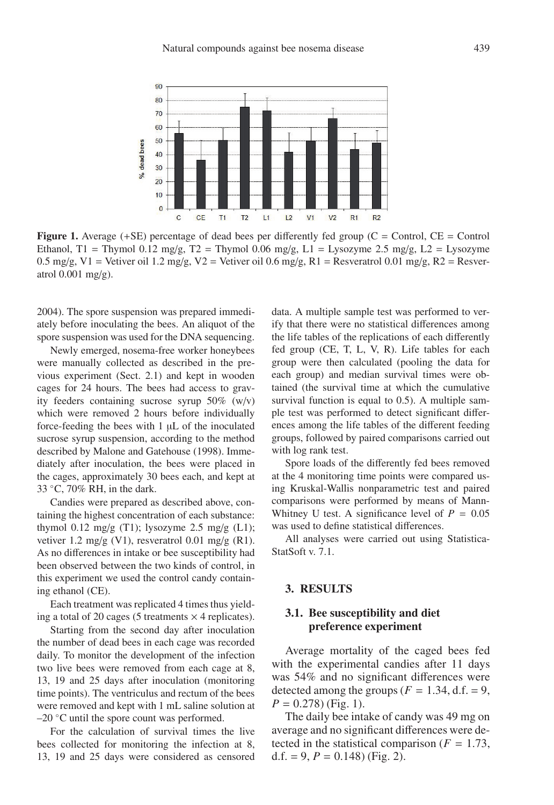

**Figure 1.** Average  $(+SE)$  percentage of dead bees per differently fed group  $(C =$  Control,  $CE =$  Control Ethanol, T1 = Thymol 0.12 mg/g, T2 = Thymol 0.06 mg/g, L1 = Lysozyme 2.5 mg/g, L2 = Lysozyme 0.5 mg/g, V1 = Vetiver oil 1.2 mg/g, V2 = Vetiver oil 0.6 mg/g, R1 = Resveratrol 0.01 mg/g, R2 = Resveratrol  $0.001$  mg/g).

2004). The spore suspension was prepared immediately before inoculating the bees. An aliquot of the spore suspension was used for the DNA sequencing.

Newly emerged, nosema-free worker honeybees were manually collected as described in the previous experiment (Sect. 2.1) and kept in wooden cages for 24 hours. The bees had access to gravity feeders containing sucrose syrup 50% (w/v) which were removed 2 hours before individually force-feeding the bees with 1 µL of the inoculated sucrose syrup suspension, according to the method described by Malone and Gatehouse (1998). Immediately after inoculation, the bees were placed in the cages, approximately 30 bees each, and kept at 33 ◦C, 70% RH, in the dark.

Candies were prepared as described above, containing the highest concentration of each substance: thymol 0.12 mg/g (T1); lysozyme 2.5 mg/g (L1); vetiver 1.2 mg/g (V1), resveratrol 0.01 mg/g (R1). As no differences in intake or bee susceptibility had been observed between the two kinds of control, in this experiment we used the control candy containing ethanol (CE).

Each treatment was replicated 4 times thus yielding a total of 20 cages (5 treatments  $\times$  4 replicates).

Starting from the second day after inoculation the number of dead bees in each cage was recorded daily. To monitor the development of the infection two live bees were removed from each cage at 8, 13, 19 and 25 days after inoculation (monitoring time points). The ventriculus and rectum of the bees were removed and kept with 1 mL saline solution at  $-20$  °C until the spore count was performed.

For the calculation of survival times the live bees collected for monitoring the infection at 8, 13, 19 and 25 days were considered as censored data. A multiple sample test was performed to verify that there were no statistical differences among the life tables of the replications of each differently fed group (CE, T, L, V, R). Life tables for each group were then calculated (pooling the data for each group) and median survival times were obtained (the survival time at which the cumulative survival function is equal to 0.5). A multiple sample test was performed to detect significant differences among the life tables of the different feeding groups, followed by paired comparisons carried out with log rank test.

Spore loads of the differently fed bees removed at the 4 monitoring time points were compared using Kruskal-Wallis nonparametric test and paired comparisons were performed by means of Mann-Whitney U test. A significance level of  $P = 0.05$ was used to define statistical differences.

All analyses were carried out using Statistica-StatSoft v. 7.1.

#### **3. RESULTS**

## **3.1. Bee susceptibility and diet preference experiment**

Average mortality of the caged bees fed with the experimental candies after 11 days was 54% and no significant differences were detected among the groups ( $F = 1.34$ , d.f. = 9,  $P = 0.278$ ) (Fig. 1).

The daily bee intake of candy was 49 mg on average and no significant differences were detected in the statistical comparison  $(F = 1.73)$ , d.f. = 9,  $P = 0.148$ ) (Fig. 2).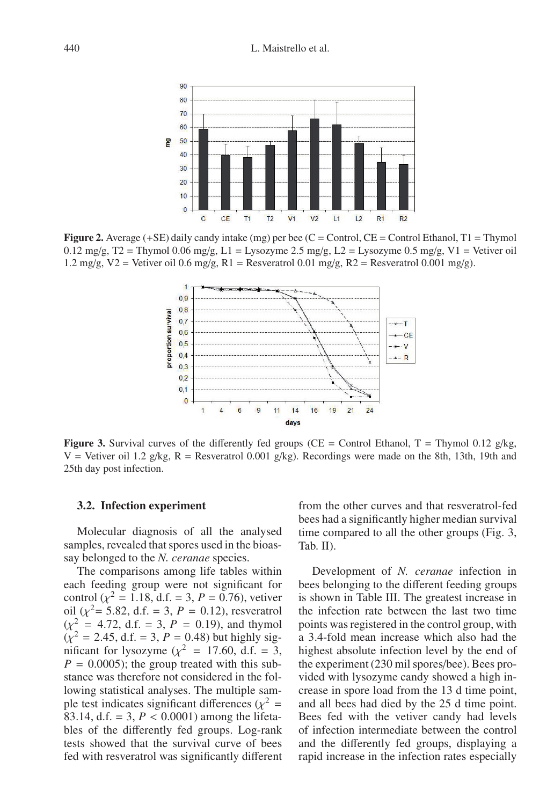

**Figure 2.** Average  $(+SE)$  daily candy intake (mg) per bee  $(C = Control, CE = Control)$  Ethanol,  $T1 = Thymol$ 0.12 mg/g, T2 = Thymol 0.06 mg/g, L1 = Lysozyme 2.5 mg/g, L2 = Lysozyme 0.5 mg/g, V1 = Vetiver oil 1.2 mg/g, V2 = Vetiver oil 0.6 mg/g, R1 = Resveratrol 0.01 mg/g, R2 = Resveratrol 0.001 mg/g).



**Figure 3.** Survival curves of the differently fed groups (CE = Control Ethanol, T = Thymol 0.12 g/kg, V = Vetiver oil 1.2 g/kg, R = Resveratrol 0.001 g/kg). Recordings were made on the 8th, 13th, 19th and 25th day post infection.

#### **3.2. Infection experiment**

Molecular diagnosis of all the analysed samples, revealed that spores used in the bioassay belonged to the *N. ceranae* species.

The comparisons among life tables within each feeding group were not significant for control ( $\chi^2 = 1.18$ , d.f. = 3, *P* = 0.76), vetiver oil ( $\chi^2$ = 5.82, d.f. = 3, *P* = 0.12), resveratrol  $(x^{2} = 4.72, d.f. = 3, P = 0.19)$ , and thymol  $(x^{2} = 2.45, d.f. = 3, P = 0.48)$  but highly significant for lysozyme ( $\chi^2$  = 17.60, d.f. = 3,  $P = 0.0005$ ; the group treated with this substance was therefore not considered in the following statistical analyses. The multiple sample test indicates significant differences ( $\chi^2$  = 83.14, d.f. = 3, *P* < 0.0001) among the lifetables of the differently fed groups. Log-rank tests showed that the survival curve of bees fed with resveratrol was significantly different from the other curves and that resveratrol-fed bees had a significantly higher median survival time compared to all the other groups (Fig. 3, Tab. II).

Development of *N. ceranae* infection in bees belonging to the different feeding groups is shown in Table III. The greatest increase in the infection rate between the last two time points was registered in the control group, with a 3.4-fold mean increase which also had the highest absolute infection level by the end of the experiment (230 mil spores/bee). Bees provided with lysozyme candy showed a high increase in spore load from the 13 d time point, and all bees had died by the 25 d time point. Bees fed with the vetiver candy had levels of infection intermediate between the control and the differently fed groups, displaying a rapid increase in the infection rates especially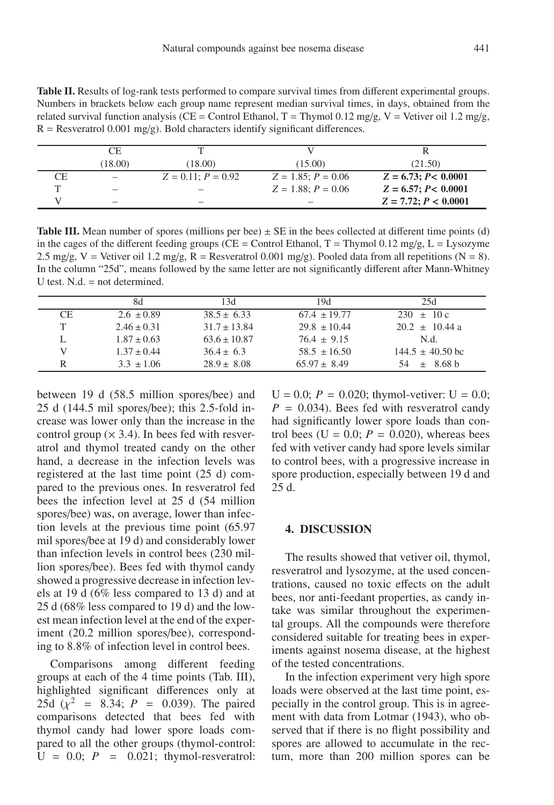**Table II.** Results of log-rank tests performed to compare survival times from different experimental groups. Numbers in brackets below each group name represent median survival times, in days, obtained from the related survival function analysis (CE = Control Ethanol, T = Thymol 0.12 mg/g, V = Vetiver oil 1.2 mg/g,  $R =$ Resveratrol 0.001 mg/g). Bold characters identify significant differences.

|    | СE                       |                         |                          |                           |
|----|--------------------------|-------------------------|--------------------------|---------------------------|
|    | (18.00)                  | (18.00)                 | (15.00)                  | (21.50)                   |
| СE | $\overline{\phantom{a}}$ | $Z = 0.11$ ; $P = 0.92$ | $Z = 1.85$ ; $P = 0.06$  | $Z = 6.73; P < 0.0001$    |
| m  | -                        |                         | $Z = 1.88$ ; $P = 0.06$  | $Z = 6.57; P < 0.0001$    |
|    | -                        | -                       | $\overline{\phantom{a}}$ | $Z = 7.72$ ; $P < 0.0001$ |

**Table III.** Mean number of spores (millions per bee)  $\pm$  SE in the bees collected at different time points (d) in the cages of the different feeding groups (CE = Control Ethanol, T = Thymol 0.12 mg/g, L = Lysozyme 2.5 mg/g, V = Vetiver oil 1.2 mg/g, R = Resveratrol 0.001 mg/g). Pooled data from all repetitions (N = 8). In the column "25d", means followed by the same letter are not significantly different after Mann-Whitney U test.  $N.d. = not determined$ .

|    | 8d              | 13d              | 19d              | 25d                  |
|----|-----------------|------------------|------------------|----------------------|
| СE | $2.6 \pm 0.89$  | $38.5 \pm 6.33$  | $67.4 \pm 19.77$ | $230 \pm 10c$        |
| T  | $2.46 \pm 0.31$ | $31.7 \pm 13.84$ | $29.8 \pm 10.44$ | $20.2 \pm 10.44$ a   |
|    | $1.87 \pm 0.63$ | $63.6 \pm 10.87$ | $76.4 \pm 9.15$  | N.d.                 |
| V  | $1.37 \pm 0.44$ | $36.4 \pm 6.3$   | $58.5 \pm 16.50$ | $144.5 \pm 40.50$ bc |
| R  | $3.3 \pm 1.06$  | $28.9 \pm 8.08$  | $65.97 \pm 8.49$ | $\pm$ 8.68 h         |

between 19 d (58.5 million spores/bee) and 25 d (144.5 mil spores/bee); this 2.5-fold increase was lower only than the increase in the control group ( $\times$  3.4). In bees fed with resveratrol and thymol treated candy on the other hand, a decrease in the infection levels was registered at the last time point (25 d) compared to the previous ones. In resveratrol fed bees the infection level at 25 d (54 million spores/bee) was, on average, lower than infection levels at the previous time point (65.97 mil spores/bee at 19 d) and considerably lower than infection levels in control bees (230 million spores/bee). Bees fed with thymol candy showed a progressive decrease in infection levels at 19 d (6% less compared to 13 d) and at 25 d (68% less compared to 19 d) and the lowest mean infection level at the end of the experiment (20.2 million spores/bee), corresponding to 8.8% of infection level in control bees.

Comparisons among different feeding groups at each of the 4 time points (Tab. III), highlighted significant differences only at 25d  $(y^2 = 8.34; P = 0.039)$ . The paired comparisons detected that bees fed with thymol candy had lower spore loads compared to all the other groups (thymol-control:  $U = 0.0;$   $P = 0.021;$  thymol-resveratrol:  $U = 0.0$ ;  $P = 0.020$ ; thymol-vetiver:  $U = 0.0$ ;  $P = 0.034$ . Bees fed with resveratrol candy had significantly lower spore loads than control bees (U = 0.0;  $P = 0.020$ ), whereas bees fed with vetiver candy had spore levels similar to control bees, with a progressive increase in spore production, especially between 19 d and 25 d.

#### **4. DISCUSSION**

The results showed that vetiver oil, thymol, resveratrol and lysozyme, at the used concentrations, caused no toxic effects on the adult bees, nor anti-feedant properties, as candy intake was similar throughout the experimental groups. All the compounds were therefore considered suitable for treating bees in experiments against nosema disease, at the highest of the tested concentrations.

In the infection experiment very high spore loads were observed at the last time point, especially in the control group. This is in agreement with data from Lotmar (1943), who observed that if there is no flight possibility and spores are allowed to accumulate in the rectum, more than 200 million spores can be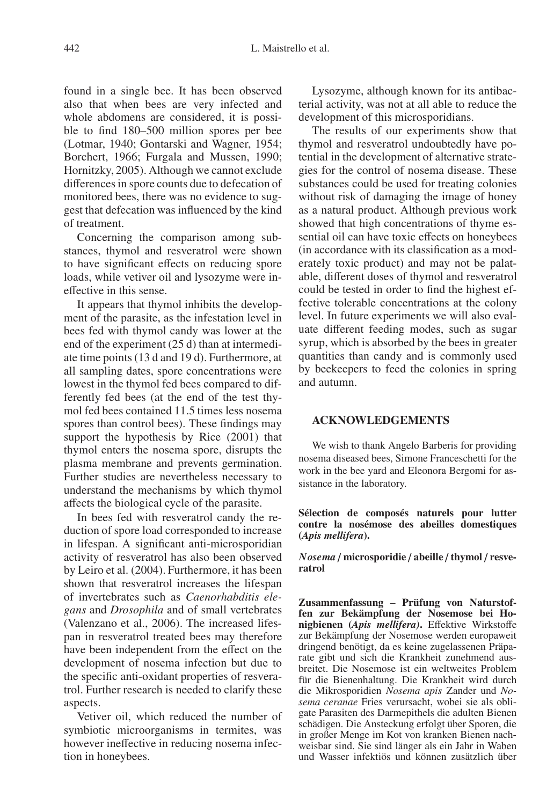found in a single bee. It has been observed also that when bees are very infected and whole abdomens are considered, it is possible to find 180–500 million spores per bee (Lotmar, 1940; Gontarski and Wagner, 1954; Borchert, 1966; Furgala and Mussen, 1990; Hornitzky, 2005). Although we cannot exclude differences in spore counts due to defecation of monitored bees, there was no evidence to suggest that defecation was influenced by the kind of treatment.

Concerning the comparison among substances, thymol and resveratrol were shown to have significant effects on reducing spore loads, while vetiver oil and lysozyme were ineffective in this sense.

It appears that thymol inhibits the development of the parasite, as the infestation level in bees fed with thymol candy was lower at the end of the experiment (25 d) than at intermediate time points (13 d and 19 d). Furthermore, at all sampling dates, spore concentrations were lowest in the thymol fed bees compared to differently fed bees (at the end of the test thymol fed bees contained 11.5 times less nosema spores than control bees). These findings may support the hypothesis by Rice (2001) that thymol enters the nosema spore, disrupts the plasma membrane and prevents germination. Further studies are nevertheless necessary to understand the mechanisms by which thymol affects the biological cycle of the parasite.

In bees fed with resveratrol candy the reduction of spore load corresponded to increase in lifespan. A significant anti-microsporidian activity of resveratrol has also been observed by Leiro et al. (2004). Furthermore, it has been shown that resveratrol increases the lifespan of invertebrates such as *Caenorhabditis elegans* and *Drosophila* and of small vertebrates (Valenzano et al., 2006). The increased lifespan in resveratrol treated bees may therefore have been independent from the effect on the development of nosema infection but due to the specific anti-oxidant properties of resveratrol. Further research is needed to clarify these aspects.

Vetiver oil, which reduced the number of symbiotic microorganisms in termites, was however ineffective in reducing nosema infection in honeybees.

Lysozyme, although known for its antibacterial activity, was not at all able to reduce the development of this microsporidians.

The results of our experiments show that thymol and resveratrol undoubtedly have potential in the development of alternative strategies for the control of nosema disease. These substances could be used for treating colonies without risk of damaging the image of honey as a natural product. Although previous work showed that high concentrations of thyme essential oil can have toxic effects on honeybees (in accordance with its classification as a moderately toxic product) and may not be palatable, different doses of thymol and resveratrol could be tested in order to find the highest effective tolerable concentrations at the colony level. In future experiments we will also evaluate different feeding modes, such as sugar syrup, which is absorbed by the bees in greater quantities than candy and is commonly used by beekeepers to feed the colonies in spring and autumn.

#### **ACKNOWLEDGEMENTS**

We wish to thank Angelo Barberis for providing nosema diseased bees, Simone Franceschetti for the work in the bee yard and Eleonora Bergomi for assistance in the laboratory.

**Sélection de composés naturels pour lutter contre la nosémose des abeilles domestiques (***Apis mellifera***).**

*Nosema* / **microsporidie** / **abeille** / **thymol** / **resveratrol**

**Zusammenfassung** – **Prüfung von Naturstoffen zur Bekämpfung der Nosemose bei Honigbienen (***Apis mellifera)***.** Effektive Wirkstoffe zur Bekämpfung der Nosemose werden europaweit dringend benötigt, da es keine zugelassenen Präparate gibt und sich die Krankheit zunehmend ausbreitet. Die Nosemose ist ein weltweites Problem für die Bienenhaltung. Die Krankheit wird durch die Mikrosporidien *Nosema apis* Zander und *Nosema ceranae* Fries verursacht, wobei sie als obligate Parasiten des Darmepithels die adulten Bienen schädigen. Die Ansteckung erfolgt über Sporen, die in großer Menge im Kot von kranken Bienen nachweisbar sind. Sie sind länger als ein Jahr in Waben und Wasser infektiös und können zusätzlich über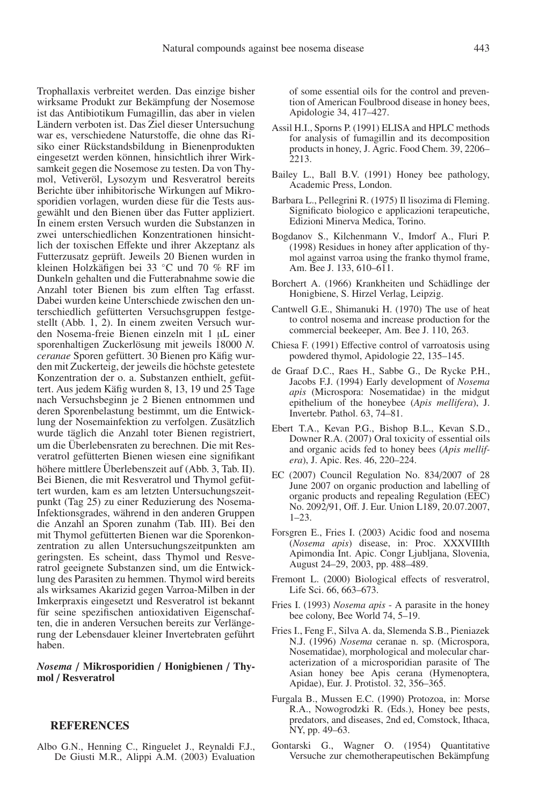Trophallaxis verbreitet werden. Das einzige bisher wirksame Produkt zur Bekämpfung der Nosemose ist das Antibiotikum Fumagillin, das aber in vielen Ländern verboten ist. Das Ziel dieser Untersuchung war es, verschiedene Naturstoffe, die ohne das Risiko einer Rückstandsbildung in Bienenprodukten eingesetzt werden können, hinsichtlich ihrer Wirksamkeit gegen die Nosemose zu testen. Da von Thymol, Vetiveröl, Lysozym und Resveratrol bereits Berichte über inhibitorische Wirkungen auf Mikrosporidien vorlagen, wurden diese für die Tests ausgewählt und den Bienen über das Futter appliziert. In einem ersten Versuch wurden die Substanzen in zwei unterschiedlichen Konzentrationen hinsichtlich der toxischen Effekte und ihrer Akzeptanz als Futterzusatz geprüft. Jeweils 20 Bienen wurden in kleinen Holzkäfigen bei 33 ◦C und 70 % RF im Dunkeln gehalten und die Futterabnahme sowie die Anzahl toter Bienen bis zum elften Tag erfasst. Dabei wurden keine Unterschiede zwischen den unterschiedlich gefütterten Versuchsgruppen festgestellt (Abb. 1, 2). In einem zweiten Versuch wurden Nosema-freie Bienen einzeln mit 1 µL einer sporenhaltigen Zuckerlösung mit jeweils 18000 *N. ceranae* Sporen gefüttert. 30 Bienen pro Käfig wurden mit Zuckerteig, der jeweils die höchste getestete Konzentration der o. a. Substanzen enthielt, gefüttert. Aus jedem Käfig wurden 8, 13, 19 und 25 Tage nach Versuchsbeginn je 2 Bienen entnommen und deren Sporenbelastung bestimmt, um die Entwicklung der Nosemainfektion zu verfolgen. Zusätzlich wurde täglich die Anzahl toter Bienen registriert, um die Überlebensraten zu berechnen. Die mit Resveratrol gefütterten Bienen wiesen eine signifikant höhere mittlere Überlebenszeit auf (Abb. 3, Tab. II). Bei Bienen, die mit Resveratrol und Thymol gefüttert wurden, kam es am letzten Untersuchungszeitpunkt (Tag 25) zu einer Reduzierung des Nosema-Infektionsgrades, während in den anderen Gruppen die Anzahl an Sporen zunahm (Tab. III). Bei den mit Thymol gefütterten Bienen war die Sporenkonzentration zu allen Untersuchungszeitpunkten am geringsten. Es scheint, dass Thymol und Resveratrol geeignete Substanzen sind, um die Entwicklung des Parasiten zu hemmen. Thymol wird bereits als wirksames Akarizid gegen Varroa-Milben in der Imkerpraxis eingesetzt und Resveratrol ist bekannt für seine spezifischen antioxidativen Eigenschaften, die in anderen Versuchen bereits zur Verlängerung der Lebensdauer kleiner Invertebraten geführt haben.

*Nosema* / **Mikrosporidien** / **Honigbienen** / **Thymol** / **Resveratrol**

#### **REFERENCES**

Albo G.N., Henning C., Ringuelet J., Reynaldi F.J., De Giusti M.R., Alippi A.M. (2003) Evaluation of some essential oils for the control and prevention of American Foulbrood disease in honey bees, Apidologie 34, 417–427.

- Assil H.I., Sporns P. (1991) ELISA and HPLC methods for analysis of fumagillin and its decomposition products in honey, J. Agric. Food Chem. 39, 2206– 2213.
- Bailey L., Ball B.V. (1991) Honey bee pathology, Academic Press, London.
- Barbara L., Pellegrini R. (1975) Il lisozima di Fleming. Significato biologico e applicazioni terapeutiche, Edizioni Minerva Medica, Torino.
- Bogdanov S., Kilchenmann V., Imdorf A., Fluri P. (1998) Residues in honey after application of thymol against varroa using the franko thymol frame, Am. Bee J. 133, 610–611.
- Borchert A. (1966) Krankheiten und Schädlinge der Honigbiene, S. Hirzel Verlag, Leipzig.
- Cantwell G.E., Shimanuki H. (1970) The use of heat to control nosema and increase production for the commercial beekeeper, Am. Bee J. 110, 263.
- Chiesa F. (1991) Effective control of varroatosis using powdered thymol, Apidologie 22, 135–145.
- de Graaf D.C., Raes H., Sabbe G., De Rycke P.H., Jacobs F.J. (1994) Early development of *Nosema apis* (Microspora: Nosematidae) in the midgut epithelium of the honeybee (*Apis mellifera*), J. Invertebr. Pathol. 63, 74–81.
- Ebert T.A., Kevan P.G., Bishop B.L., Kevan S.D., Downer R.A. (2007) Oral toxicity of essential oils and organic acids fed to honey bees (*Apis mellifera*), J. Apic. Res. 46, 220–224.
- EC (2007) Council Regulation No. 834/2007 of 28 June 2007 on organic production and labelling of organic products and repealing Regulation (EEC) No. 2092/91, Off. J. Eur. Union L189, 20.07.2007, 1–23.
- Forsgren E., Fries I. (2003) Acidic food and nosema (*Nosema apis*) disease, in: Proc. XXXVIIIth Apimondia Int. Apic. Congr Ljubljana, Slovenia, August 24–29, 2003, pp. 488–489.
- Fremont L. (2000) Biological effects of resveratrol, Life Sci. 66, 663–673.
- Fries I. (1993) *Nosema apis* A parasite in the honey bee colony, Bee World 74, 5–19.
- Fries I., Feng F., Silva A. da, Slemenda S.B., Pieniazek N.J. (1996) *Nosema* ceranae n. sp. (Microspora, Nosematidae), morphological and molecular characterization of a microsporidian parasite of The Asian honey bee Apis cerana (Hymenoptera, Apidae), Eur. J. Protistol. 32, 356–365.
- Furgala B., Mussen E.C. (1990) Protozoa, in: Morse R.A., Nowogrodzki R. (Eds.), Honey bee pests, predators, and diseases, 2nd ed, Comstock, Ithaca, NY, pp. 49–63.
- Gontarski G., Wagner O. (1954) Quantitative Versuche zur chemotherapeutischen Bekämpfung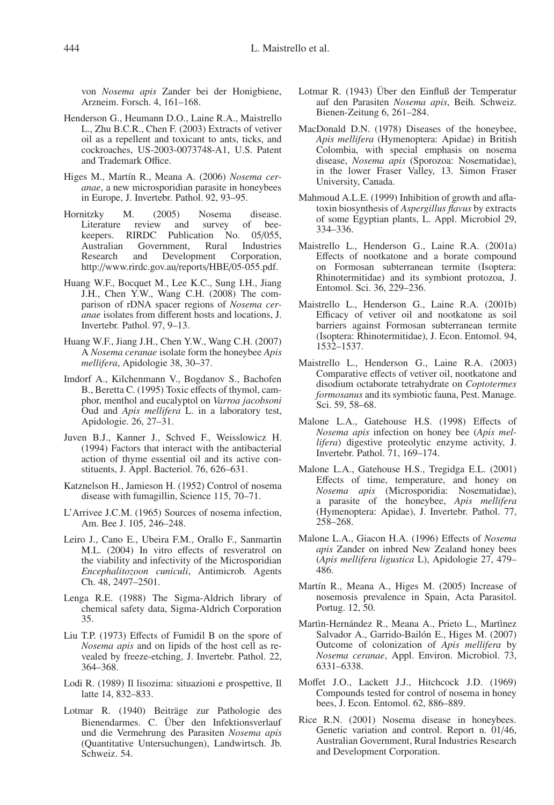von *Nosema apis* Zander bei der Honigbiene, Arzneim. Forsch. 4, 161–168.

- Henderson G., Heumann D.O., Laine R.A., Maistrello L., Zhu B.C.R., Chen F. (2003) Extracts of vetiver oil as a repellent and toxicant to ants, ticks, and cockroaches, US-2003-0073748-A1, U.S. Patent and Trademark Office.
- Higes M., Martín R., Meana A. (2006) *Nosema ceranae*, a new microsporidian parasite in honeybees in Europe, J. Invertebr. Pathol. 92, 93–95.
- Hornitzky M. (2005) Nosema disease.<br>
Literature review and survey of bee-Literature review and keepers. RIRDC Publication No. 05/055,<br>Australian Government, Rural Industries Australian Government, Rural Industries Research and Development http://www.rirdc.gov.au/reports/HBE/05-055.pdf.
- Huang W.F., Bocquet M., Lee K.C., Sung I.H., Jiang J.H., Chen Y.W., Wang C.H. (2008) The comparison of rDNA spacer regions of *Nosema ceranae* isolates from different hosts and locations, J. Invertebr. Pathol. 97, 9–13.
- Huang W.F., Jiang J.H., Chen Y.W., Wang C.H. (2007) A *Nosema ceranae* isolate form the honeybee *Apis mellifera*, Apidologie 38, 30–37.
- Imdorf A., Kilchenmann V., Bogdanov S., Bachofen B., Beretta C. (1995) Toxic effects of thymol, camphor, menthol and eucalyptol on *Varroa jacobsoni* Oud and *Apis mellifera* L. in a laboratory test, Apidologie. 26, 27–31.
- Juven B.J., Kanner J., Schved F., Weisslowicz H. (1994) Factors that interact with the antibacterial action of thyme essential oil and its active constituents, J. Appl. Bacteriol. 76, 626–631.
- Katznelson H., Jamieson H. (1952) Control of nosema disease with fumagillin, Science 115, 70–71.
- L'Arrivee J.C.M. (1965) Sources of nosema infection, Am. Bee J. 105, 246–248.
- Leiro J., Cano E., Ubeira F.M., Orallo F., Sanmartìn M.L. (2004) In vitro effects of resveratrol on the viability and infectivity of the Microsporidian *Encephalitozoon cuniculi*, Antimicrob. Agents Ch. 48, 2497–2501.
- Lenga R.E. (1988) The Sigma-Aldrich library of chemical safety data, Sigma-Aldrich Corporation 35.
- Liu T.P. (1973) Effects of Fumidil B on the spore of *Nosema apis* and on lipids of the host cell as revealed by freeze-etching, J. Invertebr. Pathol. 22, 364–368.
- Lodi R. (1989) Il lisozima: situazioni e prospettive, Il latte 14, 832–833.
- Lotmar R. (1940) Beiträge zur Pathologie des Bienendarmes. C. Über den Infektionsverlauf und die Vermehrung des Parasiten *Nosema apis* (Quantitative Untersuchungen), Landwirtsch. Jb. Schweiz. 54.
- Lotmar R. (1943) Über den Einfluß der Temperatur auf den Parasiten *Nosema apis*, Beih. Schweiz. Bienen-Zeitung 6, 261–284.
- MacDonald D.N. (1978) Diseases of the honeybee, *Apis mellifera* (Hymenoptera: Apidae) in British Colombia, with special emphasis on nosema disease, *Nosema apis* (Sporozoa: Nosematidae), in the lower Fraser Valley, 13. Simon Fraser University, Canada.
- Mahmoud A.L.E. (1999) Inhibition of growth and aflatoxin biosynthesis of *Aspergillus flavus* by extracts of some Egyptian plants, L. Appl. Microbiol 29, 334–336.
- Maistrello L., Henderson G., Laine R.A. (2001a) Effects of nootkatone and a borate compound on Formosan subterranean termite (Isoptera: Rhinotermitidae) and its symbiont protozoa, J. Entomol. Sci. 36, 229–236.
- Maistrello L., Henderson G., Laine R.A. (2001b) Efficacy of vetiver oil and nootkatone as soil barriers against Formosan subterranean termite (Isoptera: Rhinotermitidae), J. Econ. Entomol. 94, 1532–1537.
- Maistrello L., Henderson G., Laine R.A. (2003) Comparative effects of vetiver oil, nootkatone and disodium octaborate tetrahydrate on *Coptotermes formosanus* and its symbiotic fauna, Pest. Manage. Sci. 59, 58–68.
- Malone L.A., Gatehouse H.S. (1998) Effects of *Nosema apis* infection on honey bee (*Apis mellifera*) digestive proteolytic enzyme activity, J. Invertebr. Pathol. 71, 169–174.
- Malone L.A., Gatehouse H.S., Tregidga E.L. (2001) Effects of time, temperature, and honey on *Nosema apis* (Microsporidia: Nosematidae), a parasite of the honeybee, *Apis mellifera* (Hymenoptera: Apidae), J. Invertebr. Pathol. 77, 258–268.
- Malone L.A., Giacon H.A. (1996) Effects of *Nosema apis* Zander on inbred New Zealand honey bees (*Apis mellifera ligustica* L), Apidologie 27, 479– 486.
- Martín R., Meana A., Higes M. (2005) Increase of nosemosis prevalence in Spain, Acta Parasitol. Portug. 12, 50.
- Martìn-Hernández R., Meana A., Prieto L., Martìnez Salvador A., Garrido-Bailón E., Higes M. (2007) Outcome of colonization of *Apis mellifera* by *Nosema ceranae*, Appl. Environ. Microbiol. 73, 6331–6338.
- Moffet J.O., Lackett J.J., Hitchcock J.D. (1969) Compounds tested for control of nosema in honey bees, J. Econ. Entomol. 62, 886–889.
- Rice R.N. (2001) Nosema disease in honeybees. Genetic variation and control. Report n. 01/46, Australian Government, Rural Industries Research and Development Corporation.